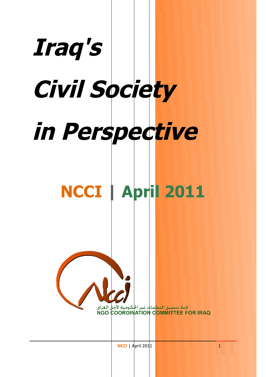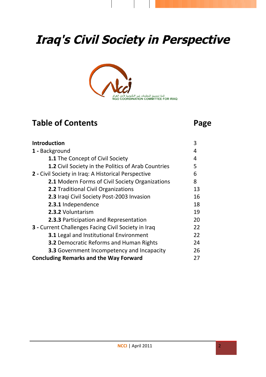# **Iraq's Civil Society in Perspective**



## **Table of Contents Page**

| Introduction                                               | 3  |
|------------------------------------------------------------|----|
| 1 - Background                                             | 4  |
| <b>1.1</b> The Concept of Civil Society                    | 4  |
| <b>1.2 Civil Society in the Politics of Arab Countries</b> | 5  |
| 2 - Civil Society in Iraq: A Historical Perspective        | 6  |
| <b>2.1 Modern Forms of Civil Society Organizations</b>     | 8  |
| 2.2 Traditional Civil Organizations                        | 13 |
| 2.3 Iraqi Civil Society Post-2003 Invasion                 | 16 |
| 2.3.1 Independence                                         | 18 |
| 2.3.2 Voluntarism                                          | 19 |
| <b>2.3.3 Participation and Representation</b>              | 20 |
| <b>3</b> - Current Challenges Facing Civil Society in Iraq | 22 |
| <b>3.1</b> Legal and Institutional Environment             | 22 |
| <b>3.2 Democratic Reforms and Human Rights</b>             | 24 |
| <b>3.3</b> Government Incompetency and Incapacity          | 26 |
| <b>Concluding Remarks and the Way Forward</b>              | 27 |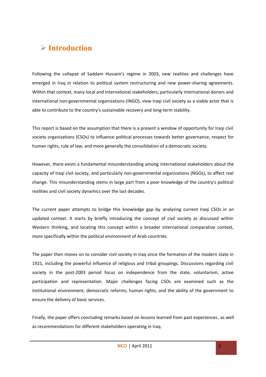### **Introduction**

Following the collapse of Saddam Hussein's regime in 2003, new realities and challenges have emerged in Iraq in relation to political system restructuring and new power-sharing agreements. Within that context, many local and international stakeholders, particularly international donors and international non-governmental organizations (INGO), view Iraqi civil society as a viable actor that is able to contribute to the country's sustainable recovery and long-term stability.

This report is based on the assumption that there is a present a window of opportunity for Iraqi civil society organizations (CSOs) to influence political processes towards better governance, respect for human rights, rule of law, and more generally the consolidation of a democratic society.

However, there exists a fundamental misunderstanding among international stakeholders about the capacity of Iraqi civil society, and particularly non-governmental organizations (NGOs), to affect real change. This misunderstanding stems in large part from a poor knowledge of the country's political realities and civil society dynamics over the last decades.

The current paper attempts to bridge this knowledge gap by analyzing current Iraqi CSOs in an updated context. It starts by briefly introducing the concept of civil society as discussed within Western thinking, and locating this concept within a broader international comparative context, more specifically within the political environment of Arab countries.

The paper then moves on to consider civil society in Iraq since the formation of the modern state in 1921, including the powerful influence of religious and tribal groupings. Discussions regarding civil society in the post-2003 period focus on independence from the state, voluntarism, active participation and representation. Major challenges facing CSOs are examined such as the institutional environment, democratic reforms, human rights, and the ability of the government to ensure the delivery of basic services.

Finally, the paper offers concluding remarks based on lessons learned from past experiences, as well as recommendations for different stakeholders operating in Iraq.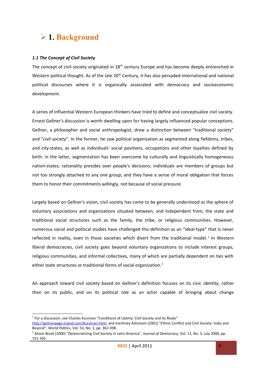### **1. Background**

### *1.1 The Concept of Civil Society*

The concept of civil society originated in 18<sup>th</sup> century Europe and has become deeply entrenched in Western political thought. As of the late 20<sup>th</sup> Century, it has also pervaded international and national political discourses where it is organically associated with democracy and socioeconomic development.

A series of influential Western European thinkers have tried to define and conceptualize civil society. Ernest Gellner's discussion is worth dwelling upon for having largely influenced popular conceptions. Gellner, a philosopher and social anthropologist, drew a distinction between "traditional society" and "civil society". In the former, he saw political organization as segmented along fiefdoms, tribes, and city-states, as well as individuals' social positions, occupations and other loyalties defined by birth. In the latter, segmentation has been overcome by culturally and linguistically homogeneous nation-states; rationality presides over people's decisions; individuals are members of groups but not too strongly attached to any one group; and they have a sense of moral obligation that forces them to honor their commitments willingly, not because of social pressure.

Largely based on Gellner's vision, civil society has come to be generally understood as the sphere of voluntary associations and organizations situated between, and independent from, the state and traditional social structures such as the family, the tribe, or religious communities. However, numerous social and political studies have challenged this definition as an "ideal-type" that is never reflected in reality, even in those societies which divert from the traditional model.<sup>[1](#page-3-0)</sup> In Western liberal democracies, civil society goes beyond voluntary organizations to include interest groups, religious communities, and informal collectives, many of which are partially dependent on ties with either state structures or traditional forms of social organization.<sup>[2](#page-3-1)</sup>

An approach toward civil society based on Gellner's definition focuses on its civic *identity*, rather than on its public, and on its political *role* as an actor capable of bringing about change

<span id="page-3-0"></span> $<sup>1</sup>$  For a discussion, see Charles Kurzman "Conditions of Liberty: Civil Society and Its Rivals"</sup>

[http://gellnerpage.tripod.com/Kurzman.html;](http://gellnerpage.tripod.com/Kurzman.html) and Varshney Ashutosh (2001) "Ethnic Conflict and Civil Society: India and Beyond", *World Politics*, Vol. 53, No. 3, pp. 362-398.

<span id="page-3-1"></span><sup>2</sup> Alison Brysk (2000) "Democratizing Civil Society in Latin America", *Journal of Democracy*, Vol. 11, No. 3, July 2000, pp. 151-165.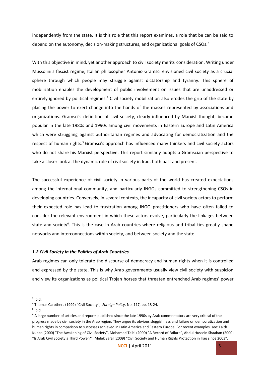independently from the state. It is this role that this report examines, a role that be can be said to depend on the autonomy, decision-making structures, and organizational goals of CSOs.<sup>[3](#page-4-0)</sup>

With this objective in mind, yet another approach to civil society merits consideration. Writing under Mussolini's fascist regime, Italian philosopher Antonio Gramsci envisioned civil society as a crucial sphere through which people may struggle against dictatorship and tyranny. This sphere of mobilization enables the development of public involvement on issues that are unaddressed or entirely ignored by political regimes.<sup>[4](#page-4-1)</sup> Civil society mobilization also erodes the grip of the state by placing the power to exert change into the hands of the masses represented by associations and organizations. Gramsci's definition of civil society, clearly influenced by Marxist thought, became popular in the late 1980s and 1990s among civil movements in Eastern Europe and Latin America which were struggling against authoritarian regimes and advocating for democratization and the respect of human rights.<sup>[5](#page-4-2)</sup> Gramsci's approach has influenced many thinkers and civil society actors who do not share his Marxist perspective. This report similarly adopts a Gramscian perspective to take a closer look at the dynamic role of civil society in Iraq, both past and present.

The successful experience of civil society in various parts of the world has created expectations among the international community, and particularly INGOs committed to strengthening CSOs in developing countries. Conversely, in several contexts, the incapacity of civil society actors to perform their expected role has lead to frustration among INGO practitioners who have often failed to consider the relevant environment in which these actors evolve, particularly the linkages between state and society<sup>[6](#page-4-3)</sup>. This is the case in Arab countries where religious and tribal ties greatly shape networks and interconnections within society, and between society and the state.

#### *1.2 Civil Society in the Politics of Arab Countries*

Arab regimes can only tolerate the discourse of democracy and human rights when it is controlled and expressed by the state. This is why Arab governments usually view civil society with suspicion and view its organizations as political Trojan horses that threaten entrenched Arab regimes' power

<span id="page-4-0"></span> $3$  Ibid.

<span id="page-4-1"></span><sup>4</sup> Thomas Carothers (1999) "Civil Society", *Foreign Policy,* No. 117, pp. 18-24.

<span id="page-4-2"></span> $<sup>5</sup>$  Ibid.</sup>

<span id="page-4-3"></span><sup>&</sup>lt;sup>6</sup> A large number of articles and reports published since the late 1990s by Arab commentators are very critical of the progress made by civil society in the Arab region. They argue its obvious sluggishness and failure on democratization and human rights in comparison to successes achieved in Latin America and Eastern Europe. For recent examples, see: Laith Kubba (2000) "The Awakening of Civil Society", Mohamed Talbi (2000) "A Record of Failure", Abdul Hussein Shaaban (2000) "Is Arab Civil Society a Third Power?", Melek Saral (2009) "Civil Society and Human Rights Protection in Iraq since 2003".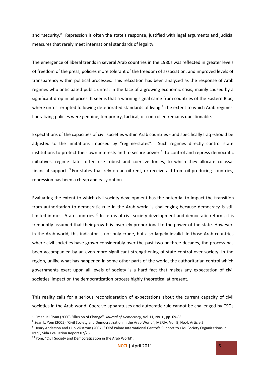and "security." Repression is often the state's response, justified with legal arguments and judicial measures that rarely meet international standards of legality.

The emergence of liberal trends in several Arab countries in the 1980s was reflected in greater levels of freedom of the press, policies more tolerant of the freedom of association, and improved levels of transparency within political processes. This relaxation has been analyzed as the response of Arab regimes who anticipated public unrest in the face of a growing economic crisis, mainly caused by a significant drop in oil prices. It seems that a warning signal came from countries of the Eastern Bloc, where unrest erupted following deteriorated standards of living.<sup>[7](#page-5-0)</sup> The extent to which Arab regimes' liberalizing policies were genuine, temporary, tactical, or controlled remains questionable.

Expectations of the capacities of civil societies within Arab countries - and specifically Iraq -should be adjusted to the limitations imposed by "regime-states". Such regimes directly control state institutions to protect their own interests and to secure power.<sup>8</sup> To control and repress democratic initiatives, regime-states often use robust and coercive forces, to which they allocate colossal financial support. <sup>[9](#page-5-2)</sup> For states that rely on an oil rent, or receive aid from oil producing countries, repression has been a cheap and easy option.

Evaluating the extent to which civil society development has the potential to impact the transition from authoritarian to democratic rule in the Arab world is challenging because democracy is still limited in most Arab countries.<sup>[10](#page-5-3)</sup> In terms of civil society development and democratic reform, it is frequently assumed that their growth is inversely proportional to the power of the state. However, in the Arab world, this indicator is not only crude, but also largely invalid. In those Arab countries where civil societies have grown considerably over the past two or three decades, the process has been accompanied by an even more significant strengthening of state control over society. In the region, unlike what has happened in some other parts of the world, the authoritarian control which governments exert upon all levels of society is a hard fact that makes any expectation of civil societies' impact on the democratization process highly theoretical at present.

This reality calls for a serious reconsideration of expectations about the current capacity of civil societies in the Arab world. Coercive apparatuses and autocratic rule cannot be challenged by CSOs

<span id="page-5-0"></span><sup>7</sup> Emanuel Sivan (2000) "Illusion of Change", *Journal of Democracy*, Vol.11, No.3., pp. 69-83.

<span id="page-5-1"></span><sup>&</sup>lt;sup>8</sup> Sean L. Yom (2005) "Civil Society and Democratization in the Arab World", MERIA, Vol. 9, No.4, Article 2.

<span id="page-5-2"></span><sup>&</sup>lt;sup>9</sup> Henry Anderson and Filip Vikstrom (2007) " Olof Palme International Centre's Support to Civil Society Organizations in Iraq", Sida Evaluation Report 07/25.

<span id="page-5-3"></span> $10$  Yom, "Civil Society and Democratization in the Arab World".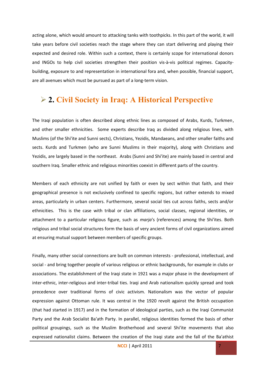acting alone, which would amount to attacking tanks with toothpicks. In this part of the world, it will take years before civil societies reach the stage where they can start delivering and playing their expected and desired role. Within such a context, there is certainly scope for international donors and INGOs to help civil societies strengthen their position vis-à-vis political regimes. Capacitybuilding, exposure to and representation in international fora and, when possible, financial support, are all avenues which must be pursued as part of a long-term vision.

### **2. Civil Society in Iraq: A Historical Perspective**

The Iraqi population is often described along ethnic lines as composed of Arabs, Kurds, Turkmen, and other smaller ethnicities. Some experts describe Iraq as divided along religious lines, with Muslims (of the Shi'ite and Sunni sects), Christians, Yezidis, Mandaeans, and other smaller faiths and sects. Kurds and Turkmen (who are Sunni Muslims in their majority), along with Christians and Yezidis, are largely based in the northeast. Arabs (Sunni and Shi'ite) are mainly based in central and southern Iraq. Smaller ethnic and religious minorities coexist in different parts of the country.

Members of each ethnicity are not unified by faith or even by sect within that faith, and their geographical presence is not exclusively confined to specific regions, but rather extends to mixed areas, particularly in urban centers. Furthermore, several social ties cut across faiths, sects and/or ethnicities. This is the case with tribal or clan affiliations, social classes, regional identities, or attachment to a particular religious figure, such as *marja*'s (references) among the Shi'ites. Both religious and tribal social structures form the basis of very ancient forms of civil organizations aimed at ensuring mutual support between members of specific groups.

Finally, many other social connections are built on common interests - professional, intellectual, and social - and bring together people of various religious or ethnic backgrounds, for example in clubs or associations. The establishment of the Iraqi state in 1921 was a major phase in the development of inter-ethnic, inter-religious and inter-tribal ties. Iraqi and Arab nationalism quickly spread and took precedence over traditional forms of civic activism. Nationalism was the vector of popular expression against Ottoman rule. It was central in the 1920 revolt against the British occupation (that had started in 1917) and in the formation of ideological parties, such as the Iraqi Communist Party and the Arab Socialist Ba'ath Party. In parallel, religious identities formed the basis of other political groupings, such as the Muslim Brotherhood and several Shi'ite movements that also expressed nationalist claims. Between the creation of the Iraqi state and the fall of the Ba'athist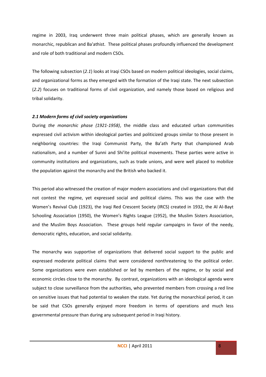regime in 2003, Iraq underwent three main political phases, which are generally known as monarchic, republican and Ba'athist. These political phases profoundly influenced the development and role of both traditional and modern CSOs.

The following subsection (*2.1*) looks at Iraqi CSOs based on modern political ideologies, social claims, and organizational forms as they emerged with the formation of the Iraqi state. The next subsection (*2.2*) focuses on traditional forms of civil organization, and namely those based on religious and tribal solidarity.

### *2.1 Modern forms of civil society organizations*

During *the monarchic phase (1921-1958)*, the middle class and educated urban communities expressed civil activism within ideological parties and politicized groups similar to those present in neighboring countries: the Iraqi Communist Party, the Ba'ath Party that championed Arab nationalism, and a number of Sunni and Shi'ite political movements. These parties were active in community institutions and organizations, such as trade unions, and were well placed to mobilize the population against the monarchy and the British who backed it.

This period also witnessed the creation of major modern associations and civil organizations that did not contest the regime, yet expressed social and political claims. This was the case with the Women's Revival Club (1923), the Iraqi Red Crescent Society (IRCS) created in 1932, the Al Al-Bayt Schooling Association (1950), the Women's Rights League (1952), the Muslim Sisters Association, and the Muslim Boys Association. These groups held regular campaigns in favor of the needy, democratic rights, education, and social solidarity.

The monarchy was supportive of organizations that delivered social support to the public and expressed moderate political claims that were considered nonthreatening to the political order. Some organizations were even established or led by members of the regime, or by social and economic circles close to the monarchy. By contrast, organizations with an ideological agenda were subject to close surveillance from the authorities, who prevented members from crossing a red line on sensitive issues that had potential to weaken the state. Yet during the monarchical period, it can be said that CSOs generally enjoyed more freedom in terms of operations and much less governmental pressure than during any subsequent period in Iraqi history.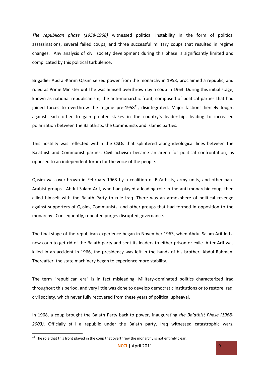*The republican phase (1958-1968)* witnessed political instability in the form of political assassinations, several failed coups, and three successful military coups that resulted in regime changes. Any analysis of civil society development during this phase is significantly limited and complicated by this political turbulence.

Brigadier Abd al-Karim Qasim seized power from the monarchy in 1958, proclaimed a republic, and ruled as Prime Minister until he was himself overthrown by a coup in 1963. During this initial stage, known as national republicanism, the anti-monarchic front, composed of political parties that had joined forces to overthrow the regime pre-1958 $^{11}$  $^{11}$  $^{11}$ , disintegrated. Major factions fiercely fought against each other to gain greater stakes in the country's leadership, leading to increased polarization between the Ba'athists, the Communists and Islamic parties.

This hostility was reflected within the CSOs that splintered along ideological lines between the Ba'athist and Communist parties. Civil activism became an arena for political confrontation, as opposed to an independent forum for the voice of the people.

Qasim was overthrown in February 1963 by a coalition of Ba'athists, army units, and other pan-Arabist groups. Abdul Salam Arif, who had played a leading role in the anti-monarchic coup, then allied himself with the Ba'ath Party to rule Iraq. There was an atmosphere of political revenge against supporters of Qasim, Communists, and other groups that had formed in opposition to the monarchy. Consequently, repeated purges disrupted governance.

The final stage of the republican experience began in November 1963, when Abdul Salam Arif led a new coup to get rid of the Ba'ath party and sent its leaders to either prison or exile. After Arif was killed in an accident in 1966, the presidency was left in the hands of his brother, Abdul Rahman. Thereafter, the state machinery began to experience more stability.

The term "republican era" is in fact misleading. Military-dominated politics characterized Iraq throughout this period, and very little was done to develop democratic institutions or to restore Iraqi civil society, which never fully recovered from these years of political upheaval.

In 1968, a coup brought the Ba'ath Party back to power, inaugurating *the Ba'athist Phase (1968- 2003)*. Officially still a republic under the Ba'ath party, Iraq witnessed catastrophic wars,

<span id="page-8-0"></span> $11$  The role that this front played in the coup that overthrew the monarchy is not entirely clear.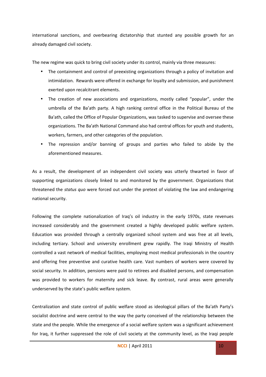international sanctions, and overbearing dictatorship that stunted any possible growth for an already damaged civil society.

The new regime was quick to bring civil society under its control, mainly via three measures:

- The containment and control of preexisting organizations through a policy of invitation and intimidation. Rewards were offered in exchange for loyalty and submission, and punishment exerted upon recalcitrant elements.
- The creation of new associations and organizations, mostly called "popular", under the umbrella of the Ba'ath party. A high ranking central office in the Political Bureau of the Ba'ath, called the Office of Popular Organizations, was tasked to supervise and oversee these organizations. The Ba'ath National Command also had central offices for youth and students, workers, farmers, and other categories of the population.
- The repression and/or banning of groups and parties who failed to abide by the aforementioned measures.

As a result, the development of an independent civil society was utterly thwarted in favor of supporting organizations closely linked to and monitored by the government. Organizations that threatened the *status quo* were forced out under the pretext of violating the law and endangering national security.

Following the complete nationalization of Iraq's oil industry in the early 1970s, state revenues increased considerably and the government created a highly developed public welfare system. Education was provided through a centrally organized school system and was free at all levels, including tertiary. School and university enrollment grew rapidly. The Iraqi Ministry of Health controlled a vast network of medical facilities, employing most medical professionals in the country and offering free preventive and curative health care. Vast numbers of workers were covered by social security. In addition, pensions were paid to retirees and disabled persons, and compensation was provided to workers for maternity and sick leave. By contrast, rural areas were generally underserved by the state's public welfare system.

Centralization and state control of public welfare stood as ideological pillars of the Ba'ath Party's socialist doctrine and were central to the way the party conceived of the relationship between the state and the people. While the emergence of a social welfare system was a significant achievement for Iraq, it further suppressed the role of civil society at the community level, as the Iraqi people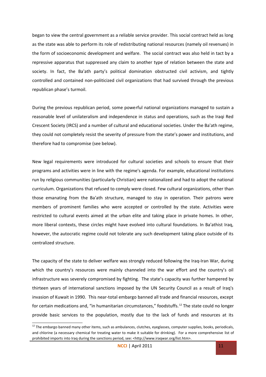began to view the central government as a reliable service provider. This social contract held as long as the state was able to perform its role of redistributing national resources (namely oil revenues) in the form of socioeconomic development and welfare. The social contract was also held in tact by a repressive apparatus that suppressed any claim to another type of relation between the state and society. In fact, the Ba'ath party's political domination obstructed civil activism, and tightly controlled and contained non-politicized civil organizations that had survived through the previous republican phase's turmoil.

During the previous republican period, some powerful national organizations managed to sustain a reasonable level of unilateralism and independence in status and operations, such as the Iraqi Red Crescent Society (IRCS) and a number of cultural and educational societies. Under the Ba'ath regime, they could not completely resist the severity of pressure from the state's power and institutions, and therefore had to compromise (see below).

New legal requirements were introduced for cultural societies and schools to ensure that their programs and activities were in line with the regime's agenda. For example, educational institutions run by religious communities (particularly Christian) were nationalized and had to adopt the national curriculum. Organizations that refused to comply were closed. Few cultural organizations, other than those emanating from the Ba'ath structure, managed to stay in operation. Their patrons were members of prominent families who were accepted or controlled by the state. Activities were restricted to cultural events aimed at the urban elite and taking place in private homes. In other, more liberal contexts, these circles might have evolved into cultural foundations. In Ba'athist Iraq, however, the autocratic regime could not tolerate any such development taking place outside of its centralized structure.

The capacity of the state to deliver welfare was strongly reduced following the Iraq-Iran War, during which the country's resources were mainly channeled into the war effort and the country's oil infrastructure was severely compromised by fighting. The state's capacity was further hampered by thirteen years of international sanctions imposed by the UN Security Council as a result of Iraq's invasion of Kuwait in 1990. This near-total embargo banned all trade and financial resources, except for certain medications and, "in humanitarian circumstances," foodstuffs.<sup>[12](#page-10-0)</sup> The state could no longer provide basic services to the population, mostly due to the lack of funds and resources at its

<span id="page-10-0"></span> $12$  The embargo banned many other items, such as ambulances, clutches, eyeglasses, computer supplies, books, periodicals, and chlorine (a necessary chemical for treating water to make it suitable for drinking). For a more comprehensive list of prohibited imports into Iraq during the sanctions period, see: <http://www.iraqwar.org/list.htm>.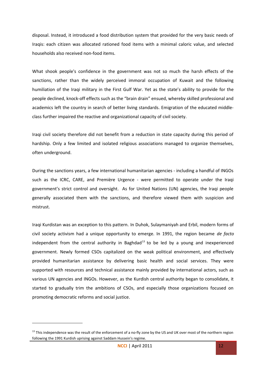disposal. Instead, it introduced a food distribution system that provided for the very basic needs of Iraqis: each citizen was allocated rationed food items with a minimal caloric value, and selected households also received non-food items.

What shook people's confidence in the government was not so much the harsh effects of the sanctions, rather than the widely perceived immoral occupation of Kuwait and the following humiliation of the Iraqi military in the First Gulf War. Yet as the state's ability to provide for the people declined, knock-off effects such as the "brain drain" ensued, whereby skilled professional and academics left the country in search of better living standards. Emigration of the educated middleclass further impaired the reactive and organizational capacity of civil society.

Iraqi civil society therefore did not benefit from a reduction in state capacity during this period of hardship. Only a few limited and isolated religious associations managed to organize themselves, often underground.

During the sanctions years, a few international humanitarian agencies - including a handful of INGOs such as the ICRC, CARE, and Première Urgence - were permitted to operate under the Iraqi government's strict control and oversight. As for United Nations (UN) agencies, the Iraqi people generally associated them with the sanctions, and therefore viewed them with suspicion and mistrust.

Iraqi Kurdistan was an exception to this pattern. In Duhok, Sulaymaniyah and Erbil, modern forms of civil society activism had a unique opportunity to emerge. In 1991, the region became *de facto* independent from the central authority in Baghdad $^{13}$  $^{13}$  $^{13}$  to be led by a young and inexperienced government. Newly formed CSOs capitalized on the weak political environment, and effectively provided humanitarian assistance by delivering basic health and social services. They were supported with resources and technical assistance mainly provided by international actors, such as various UN agencies and INGOs. However, as the Kurdish central authority began to consolidate, it started to gradually trim the ambitions of CSOs, and especially those organizations focused on promoting democratic reforms and social justice.

<span id="page-11-0"></span><sup>&</sup>lt;sup>13</sup> This independence was the result of the enforcement of a no-fly zone by the US and UK over most of the northern region following the 1991 Kurdish uprising against Saddam Hussein's regime.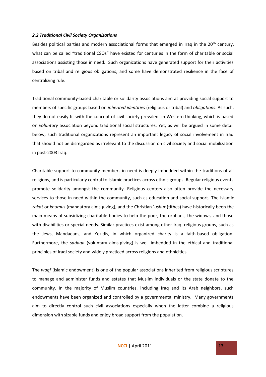#### *2.2 Traditional Civil Society Organizations*

Besides political parties and modern associational forms that emerged in Iraq in the 20<sup>th</sup> century, what can be called "traditional CSOs" have existed for centuries in the form of charitable or social associations assisting those in need. Such organizations have generated support for their activities based on tribal and religious obligations, and some have demonstrated resilience in the face of centralizing rule.

Traditional community-based charitable or solidarity associations aim at providing social support to members of specific groups based on *inherited identities* (religious or tribal) and *obligations*. As such, they do not easily fit with the concept of civil society prevalent in Western thinking, which is based on *voluntary* association beyond traditional social structures. Yet, as will be argued in some detail below, such traditional organizations represent an important legacy of social involvement in Iraq that should not be disregarded as irrelevant to the discussion on civil society and social mobilization in post-2003 Iraq.

Charitable support to community members in need is deeply imbedded within the traditions of all religions, and is particularly central to Islamic practices across ethnic groups. Regular religious events promote solidarity amongst the community. Religious centers also often provide the necessary services to those in need within the community, such as education and social support. The Islamic *zakat* or *khumus* (mandatory alms-giving), and the Christian '*ushur* (tithes) have historically been the main means of subsidizing charitable bodies to help the poor, the orphans, the widows, and those with disabilities or special needs. Similar practices exist among other Iraqi religious groups, such as the Jews, Mandaeans, and Yezidis, in which organized charity is a faith-based obligation. Furthermore, the *sadaqa* (voluntary alms-giving) is well imbedded in the ethical and traditional principles of Iraqi society and widely practiced across religions and ethnicities.

The *waqf* (Islamic endowment) is one of the popular associations inherited from religious scriptures to manage and administer funds and estates that Muslim individuals or the state donate to the community. In the majority of Muslim countries, including Iraq and its Arab neighbors, such endowments have been organized and controlled by a governmental ministry. Many governments aim to directly control such civil associations especially when the latter combine a religious dimension with sizable funds and enjoy broad support from the population.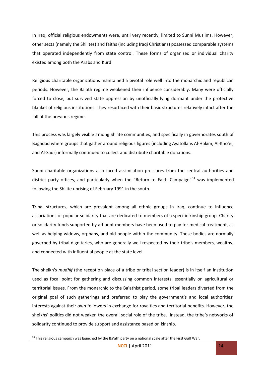In Iraq, official religious endowments were, until very recently, limited to Sunni Muslims. However, other sects (namely the Shi'ites) and faiths (including Iraqi Christians) possessed comparable systems that operated independently from state control. These forms of organized or individual charity existed among both the Arabs and Kurd.

Religious charitable organizations maintained a pivotal role well into the monarchic and republican periods. However, the Ba'ath regime weakened their influence considerably. Many were officially forced to close, but survived state oppression by unofficially lying dormant under the protective blanket of religious institutions. They resurfaced with their basic structures relatively intact after the fall of the previous regime.

This process was largely visible among Shi'ite communities, and specifically in governorates south of Baghdad where groups that gather around religious figures (including Ayatollahs Al-Hakim, Al-Kho'ei, and Al-Sadr) informally continued to collect and distribute charitable donations.

Sunni charitable organizations also faced assimilation pressures from the central authorities and district party offices, and particularly when the "Return to Faith Campaign"<sup>[14](#page-13-0)</sup> was implemented following the Shi'ite uprising of February 1991 in the south.

Tribal structures, which are prevalent among all ethnic groups in Iraq, continue to influence associations of popular solidarity that are dedicated to members of a specific kinship group. Charity or solidarity funds supported by affluent members have been used to pay for medical treatment, as well as helping widows, orphans, and old people within the community. These bodies are normally governed by tribal dignitaries, who are generally well-respected by their tribe's members, wealthy, and connected with influential people at the state level.

The sheikh's *mudhif* (the reception place of a tribe or tribal section leader) is in itself an institution used as focal point for gathering and discussing common interests, essentially on agricultural or territorial issues. From the monarchic to the Ba'athist period, some tribal leaders diverted from the original goal of such gatherings and preferred to play the government's and local authorities' interests against their own followers in exchange for royalties and territorial benefits. However, the sheikhs' politics did not weaken the overall social role of the tribe. Instead, the tribe's networks of solidarity continued to provide support and assistance based on kinship.

<span id="page-13-0"></span><sup>&</sup>lt;sup>14</sup> This religious campaign was launched by the Ba'ath party on a national scale after the First Gulf War.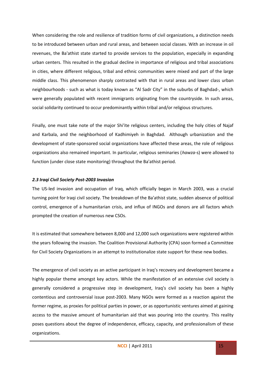When considering the role and resilience of tradition forms of civil organizations, a distinction needs to be introduced between urban and rural areas, and between social classes. With an increase in oil revenues, the Ba'athist state started to provide services to the population, especially in expanding urban centers. This resulted in the gradual decline in importance of religious and tribal associations in cities, where different religious, tribal and ethnic communities were mixed and part of the large middle class. This phenomenon sharply contrasted with that in rural areas and lower class urban neighbourhoods - such as what is today known as "Al Sadr City" in the suburbs of Baghdad-, which were generally populated with recent immigrants originating from the countryside. In such areas, social solidarity continued to occur predominantly within tribal and/or religious structures.

Finally, one must take note of the major Shi'ite religious centers, including the holy cities of Najaf and Karbala, and the neighborhood of Kadhimiyeh in Baghdad. Although urbanization and the development of state-sponsored social organizations have affected these areas, the role of religious organizations also remained important. In particular, religious seminaries (*hawza*-s) were allowed to function (under close state monitoring) throughout the Ba'athist period.

### *2.3 Iraqi Civil Society Post-2003 Invasion*

The US-led invasion and occupation of Iraq, which officially began in March 2003, was a crucial turning point for Iraqi civil society. The breakdown of the Ba'athist state, sudden absence of political control, emergence of a humanitarian crisis, and influx of INGOs and donors are all factors which prompted the creation of numerous new CSOs.

It is estimated that somewhere between 8,000 and 12,000 such organizations were registered within the years following the invasion. The Coalition Provisional Authority (CPA) soon formed a Committee for Civil Society Organizations in an attempt to institutionalize state support for these new bodies.

The emergence of civil society as an active participant in Iraq's recovery and development became a highly popular theme amongst key actors. While the manifestation of an extensive civil society is generally considered a progressive step in development, Iraq's civil society has been a highly contentious and controversial issue post-2003. Many NGOs were formed as a reaction against the former regime, as proxies for political parties in power, or as opportunistic ventures aimed at gaining access to the massive amount of humanitarian aid that was pouring into the country. This reality poses questions about the degree of independence, efficacy, capacity, and professionalism of these organizations.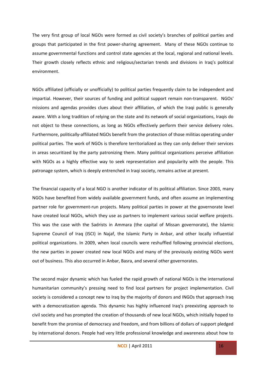The very first group of local NGOs were formed as civil society's branches of political parties and groups that participated in the first power-sharing agreement. Many of these NGOs continue to assume governmental functions and control state agencies at the local, regional and national levels. Their growth closely reflects ethnic and religious/sectarian trends and divisions in Iraq's political environment.

NGOs affiliated (officially or unofficially) to political parties frequently claim to be independent and impartial. However, their sources of funding and political support remain non-transparent. NGOs' missions and agendas provides clues about their affiliation, of which the Iraqi public is generally aware. With a long tradition of relying on the state and its network of social organizations, Iraqis do not object to these connections, as long as NGOs effectively perform their service delivery roles. Furthermore, politically-affiliated NGOs benefit from the protection of those militias operating under political parties. The work of NGOs is therefore territorialized as they can only deliver their services in areas securitized by the party patronizing them. Many political organizations perceive affiliation with NGOs as a highly effective way to seek representation and popularity with the people. This patronage system, which is deeply entrenched in Iraqi society, remains active at present.

The financial capacity of a local NGO is another indicator of its political affiliation. Since 2003, many NGOs have benefited from widely available government funds, and often assume an implementing partner role for government-run projects. Many political parties in power at the governorate level have created local NGOs, which they use as partners to implement various social welfare projects. This was the case with the Sadrists in Ammara (the capital of Missan governorate), the Islamic Supreme Council of Iraq (ISCI) in Najaf, the Islamic Party in Anbar, and other locally influential political organizations. In 2009, when local councils were reshuffled following provincial elections, the new parties in power created new local NGOs and many of the previously existing NGOs went out of business. This also occurred in Anbar, Basra, and several other governorates.

The second major dynamic which has fueled the rapid growth of national NGOs is the international humanitarian community's pressing need to find local partners for project implementation. Civil society is considered a concept new to Iraq by the majority of donors and INGOs that approach Iraq with a democratization agenda. This dynamic has highly influenced Iraq's preexisting approach to civil society and has prompted the creation of thousands of new local NGOs, which initially hoped to benefit from the promise of democracy and freedom, and from billions of dollars of support pledged by international donors. People had very little professional knowledge and awareness about how to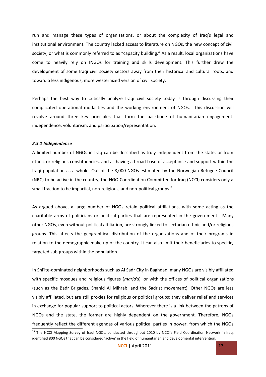run and manage these types of organizations, or about the complexity of Iraq's legal and institutional environment. The country lacked access to literature on NGOs, the new concept of civil society, or what is commonly referred to as "capacity building." As a result, local organizations have come to heavily rely on INGOs for training and skills development. This further drew the development of some Iraqi civil society sectors away from their historical and cultural roots, and toward a less indigenous, more westernized version of civil society.

Perhaps the best way to critically analyze Iraqi civil society today is through discussing their complicated operational modalities and the working environment of NGOs. This discussion will revolve around three key principles that form the backbone of humanitarian engagement: independence, voluntarism, and participation/representation.

#### *2.3.1 Independence*

A limited number of NGOs in Iraq can be described as truly independent from the state, or from ethnic or religious constituencies, and as having a broad base of acceptance and support within the Iraqi population as a whole. Out of the 8,000 NGOs estimated by the Norwegian Refugee Council (NRC) to be active in the country, the NGO Coordination Committee for Iraq (NCCI) considers only a small fraction to be impartial, non-religious, and non-political groups<sup>[15](#page-16-0)</sup>.

As argued above, a large number of NGOs retain political affiliations, with some acting as the charitable arms of politicians or political parties that are represented in the government. Many other NGOs, even without political affiliation, are strongly linked to sectarian ethnic and/or religious groups. This affects the geographical distribution of the organizations and of their programs in relation to the demographic make-up of the country. It can also limit their beneficiaries to specific, targeted sub-groups within the population.

In Shi'ite-dominated neighborhoods such as Al Sadr City in Baghdad, many NGOs are visibly affiliated with specific mosques and religious figures (*marja*'s), or with the offices of political organizations (such as the Badr Brigades, Shahid Al Mihrab, and the Sadrist movement). Other NGOs are less visibly affiliated, but are still proxies for religious or political groups: they deliver relief and services in exchange for popular support to political actors. Wherever there is a link between the patrons of NGOs and the state, the former are highly dependent on the government. Therefore, NGOs frequently reflect the different agendas of various political parties in power, from which the NGOs

<span id="page-16-0"></span><sup>&</sup>lt;sup>15</sup> The NCCI Mapping Survey of Iraqi NGOs, conducted throughout 2010 by NCCI's Field Coordination Network in Iraq, identified 800 NGOs that can be considered 'active' in the field of humanitarian and developmental intervention.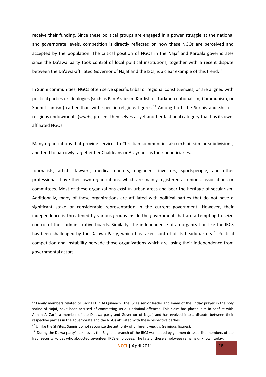receive their funding. Since these political groups are engaged in a power struggle at the national and governorate levels, competition is directly reflected on how these NGOs are perceived and accepted by the population. The critical position of NGOs in the Najaf and Karbala governorates since the Da'awa party took control of local political institutions, together with a recent dispute between the Da'awa-affiliated Governor of Najaf and the ISCI, is a clear example of this trend.<sup>[16](#page-17-0)</sup>

In Sunni communities, NGOs often serve specific tribal or regional constituencies, or are aligned with political parties or ideologies (such as Pan-Arabism, Kurdish or Turkmen nationalism, Communism, or Sunni Islamism) rather than with specific religious figures.<sup>[17](#page-17-1)</sup> Among both the Sunnis and Shi'ites, religious endowments (*waqf*s) present themselves as yet another factional category that has its own, affiliated NGOs.

Many organizations that provide services to Christian communities also exhibit similar subdivisions, and tend to narrowly target either Chaldeans or Assyrians as their beneficiaries.

Journalists, artists, lawyers, medical doctors, engineers, investors, sportspeople, and other professionals have their own organizations, which are mainly registered as unions, associations or committees. Most of these organizations exist in urban areas and bear the heritage of secularism. Additionally, many of these organizations are affiliated with political parties that do not have a significant stake or considerable representation in the current government. However, their independence is threatened by various groups inside the government that are attempting to seize control of their administrative boards. Similarly, the independence of an organization like the IRCS has been challenged by the Da'awa Party, which has taken control of its headquarters<sup>[18](#page-17-2)</sup>. Political competition and instability pervade those organizations which are losing their independence from governmental actors.

<span id="page-17-0"></span><sup>&</sup>lt;sup>16</sup> Family members related to Sadr El Din Al Qubanchi, the ISCI's senior leader and Imam of the Friday prayer in the holy shrine of Najaf, have been accused of committing serious criminal offences. This claim has placed him in conflict with Adnan Al Zarfi, a member of the Da'awa party and Governor of Najaf, and has evolved into a dispute between their respective parties in the governorate and the NGOs affiliated with these respective parties.

<span id="page-17-1"></span><sup>&</sup>lt;sup>17</sup> Unlike the Shi'ites, Sunnis do not recognize the authority of different *marja*'s (religious figures).

<span id="page-17-2"></span> $18$  During the Da'wa party's take-over, the Baghdad branch of the IRCS was raided by gunmen dressed like members of the Iraqi Security Forces who abducted seventeen IRCS employees. The fate of these employees remains unknown today.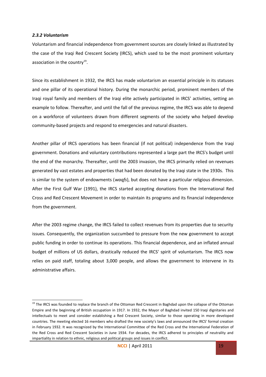#### *2.3.2 Voluntarism*

Voluntarism and financial independence from government sources are closely linked as illustrated by the case of the Iraqi Red Crescent Society (IRCS), which used to be the most prominent voluntary association in the country<sup>[19](#page-18-0)</sup>.

Since its establishment in 1932, the IRCS has made voluntarism an essential principle in its statuses and one pillar of its operational history. During the monarchic period, prominent members of the Iraqi royal family and members of the Iraqi elite actively participated in IRCS' activities, setting an example to follow. Thereafter, and until the fall of the previous regime, the IRCS was able to depend on a workforce of volunteers drawn from different segments of the society who helped develop community-based projects and respond to emergencies and natural disasters.

Another pillar of IRCS operations has been financial (if not political) independence from the Iraqi government. Donations and voluntary contributions represented a large part the IRCS's budget until the end of the monarchy. Thereafter, until the 2003 invasion, the IRCS primarily relied on revenues generated by vast estates and properties that had been donated by the Iraqi state in the 1930s. This is similar to the system of endowments (*waqfs*), but does not have a particular religious dimension. After the First Gulf War (1991), the IRCS started accepting donations from the International Red Cross and Red Crescent Movement in order to maintain its programs and its financial independence from the government.

After the 2003 regime change, the IRCS failed to collect revenues from its properties due to security issues. Consequently, the organization succumbed to pressure from the new government to accept public funding in order to continue its operations. This financial dependence, and an inflated annual budget of millions of US dollars, drastically reduced the IRCS' spirit of voluntarism. The IRCS now relies on paid staff, totaling about 3,000 people, and allows the government to intervene in its administrative affairs.

<span id="page-18-0"></span><sup>&</sup>lt;sup>19</sup> The IRCS was founded to replace the branch of the Ottoman Red Crescent in Baghdad upon the collapse of the Ottoman Empire and the beginning of British occupation in 1917. In 1932, the Mayor of Baghdad invited 150 Iraqi dignitaries and intellectuals to meet and consider establishing a Red Crescent Society, similar to those operating in more developed countries. The meeting elected 16 members who drafted the new society's laws and announced the IRCS' formal creation in February 1932. It was recognized by the International Committee of the Red Cross and the International Federation of the Red Cross and Red Crescent Societies in June 1934. For decades, the IRCS adhered to principles of neutrality and impartiality in relation to ethnic, religious and political groups and issues in conflict.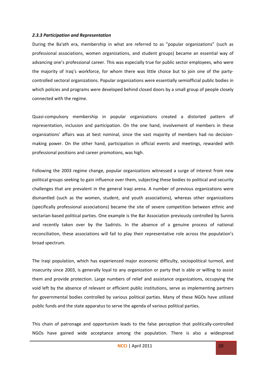#### *2.3.3 Participation and Representation*

During the Ba'ath era, membership in what are referred to as "popular organizations" (such as professional associations, women organizations, and student groups) became an essential way of advancing one's professional career. This was especially true for public sector employees, who were the majority of Iraq's workforce, for whom there was little choice but to join one of the partycontrolled sectoral organizations. Popular organizations were essentially semiofficial public bodies in which policies and programs were developed behind closed doors by a small group of people closely connected with the regime.

Quasi-compulsory membership in popular organizations created a distorted pattern of representation, inclusion and participation. On the one hand, involvement of members in these organizations' affairs was at best nominal, since the vast majority of members had no decisionmaking power. On the other hand, participation in official events and meetings, rewarded with professional positions and career promotions, was high.

Following the 2003 regime change, popular organizations witnessed a surge of interest from new political groups seeking to gain influence over them, subjecting these bodies to political and security challenges that are prevalent in the general Iraqi arena. A number of previous organizations were dismantled (such as the women, student, and youth associations), whereas other organizations (specifically professional associations) became the site of severe competition between ethnic and sectarian-based political parties. One example is the Bar Association previously controlled by Sunnis and recently taken over by the Sadrists. In the absence of a genuine process of national reconciliation, these associations will fail to play their representative role across the population's broad spectrum.

The Iraqi population, which has experienced major economic difficulty, sociopolitical turmoil, and insecurity since 2003, is generally loyal to any organization or party that is able or willing to assist them and provide protection. Large numbers of relief and assistance organizations, occupying the void left by the absence of relevant or efficient public institutions, serve as implementing partners for governmental bodies controlled by various political parties. Many of these NGOs have utilized public funds and the state apparatus to serve the agenda of various political parties.

This chain of patronage and opportunism leads to the false perception that politically-controlled NGOs have gained wide acceptance among the population. There is also a widespread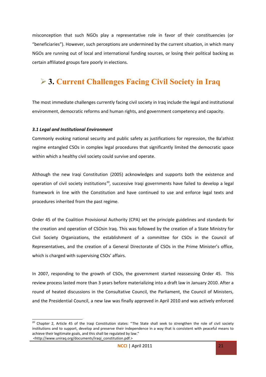misconception that such NGOs play a representative role in favor of their constituencies (or "beneficiaries"). However, such perceptions are undermined by the current situation, in which many NGOs are running out of local and international funding sources, or losing their political backing as certain affiliated groups fare poorly in elections.

### **3. Current Challenges Facing Civil Society in Iraq**

The most immediate challenges currently facing civil society in Iraq include the legal and institutional environment, democratic reforms and human rights, and government competency and capacity.

#### *3.1 Legal and Institutional Environment*

Commonly evoking national security and public safety as justifications for repression, the Ba'athist regime entangled CSOs in complex legal procedures that significantly limited the democratic space within which a healthy civil society could survive and operate.

Although the new Iraqi Constitution (2005) acknowledges and supports both the existence and operation of civil society institutions<sup>[20](#page-20-0)</sup>, successive Iraqi governments have failed to develop a legal framework in line with the Constitution and have continued to use and enforce legal texts and procedures inherited from the past regime.

Order 45 of the Coalition Provisional Authority (CPA) set the principle guidelines and standards for the creation and operation of CSOsin Iraq. This was followed by the creation of a State Ministry for Civil Society Organizations, the establishment of a committee for CSOs in the Council of Representatives, and the creation of a General Directorate of CSOs in the Prime Minister's office, which is charged with supervising CSOs' affairs.

In 2007, responding to the growth of CSOs, the government started reassessing Order 45. This review process lasted more than 3 years before materializing into a draft law in January 2010. After a round of heated discussions in the Consultative Council, the Parliament, the Council of Ministers, and the Presidential Council, a new law was finally approved in April 2010 and was actively enforced

<span id="page-20-0"></span> $20$  Chapter 2, Article 45 of the Iraqi Constitution states: "The State shall seek to strengthen the role of civil society institutions and to support, develop and preserve their independence in a way that is consistent with peaceful means to achieve their legitimate goals, and this shall be regulated by law."

 <sup>&</sup>lt;http://www.uniraq.org/documents/iraqi\_constitution.pdf.>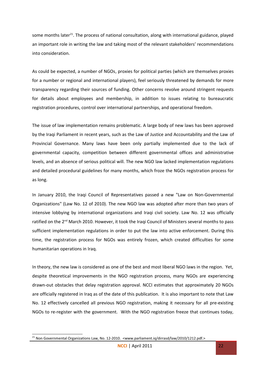some months later<sup>[21](#page-21-0)</sup>. The process of national consultation, along with international guidance, played an important role in writing the law and taking most of the relevant stakeholders' recommendations into consideration.

As could be expected, a number of NGOs, proxies for political parties (which are themselves proxies for a number or regional and international players), feel seriously threatened by demands for more transparency regarding their sources of funding. Other concerns revolve around stringent requests for details about employees and membership, in addition to issues relating to bureaucratic registration procedures, control over international partnerships, and operational freedom.

The issue of law implementation remains problematic. A large body of new laws has been approved by the Iraqi Parliament in recent years, such as the Law of Justice and Accountability and the Law of Provincial Governance. Many laws have been only partially implemented due to the lack of governmental capacity, competition between different governmental offices and administrative levels, and an absence of serious political will. The new NGO law lacked implementation regulations and detailed procedural guidelines for many months, which froze the NGOs registration process for as long.

In January 2010, the Iraqi Council of Representatives passed a new "Law on Non-Governmental Organizations" (Law No. 12 of 2010). The new NGO law was adopted after more than two years of intensive lobbying by international organizations and Iraqi civil society. Law No. 12 was officially ratified on the 2<sup>nd</sup> March 2010. However, it took the Iraqi Council of Ministers several months to pass sufficient implementation regulations in order to put the law into active enforcement. During this time, the registration process for NGOs was entirely frozen, which created difficulties for some humanitarian operations in Iraq.

In theory, the new law is considered as one of the best and most liberal NGO laws in the region. Yet, despite theoretical improvements in the NGO registration process, many NGOs are experiencing drawn-out obstacles that delay registration approval. NCCI estimates that approximately 20 NGOs are officially registered in Iraq as of the date of this publication. It is also important to note that Law No. 12 effectively cancelled all previous NGO registration, making it necessary for all pre-existing NGOs to re-register with the government. With the NGO registration freeze that continues today,

<span id="page-21-0"></span><sup>&</sup>lt;sup>21</sup> Non Governmental Organizations Law, No. 12-2010. <www.parliament.iq/dirrasd/law/2010/1212.pdf.>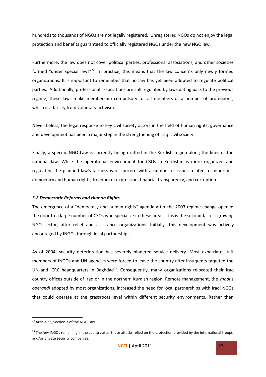hundreds to thousands of NGOs are not legally registered. Unregistered NGOs do not enjoy the legal protection and benefits guaranteed to officially registered NGOs under the new NGO law.

Furthermore, the law does not cover political parties, professional associations, and other societies formed "under special laws"<sup>[22](#page-22-0)</sup>. In practice, this means that the law concerns only newly formed organizations. It is important to remember that no law has yet been adopted to regulate political parties. Additionally, professional associations are still regulated by laws dating back to the previous regime; these laws make membership compulsory for all members of a number of professions, which is a far cry from voluntary activism.

Nevertheless, the legal response to key civil society actors in the field of human rights, governance and development has been a major step in the strengthening of Iraqi civil society.

Finally, a specific NGO Law is currently being drafted in the Kurdish region along the lines of the national law. While the operational environment for CSOs in Kurdistan is more organized and regulated, the planned law's fairness is of concern with a number of issues related to minorities, democracy and human rights, freedom of expression, financial transparency, and corruption.

### *3.2 Democratic Reforms and Human Rights*

The emergence of a "democracy and human rights" agenda after the 2003 regime change opened the door to a large number of CSOs who specialize in these areas. This is the second fastest growing NGO sector, after relief and assistance organizations. Initially, this development was actively encouraged by INGOs through local partnerships.

As of 2004, security deterioration has severely hindered service delivery. Most expatriate staff members of INGOs and UN agencies were forced to leave the country after insurgents targeted the UN and ICRC headquarters in Baghdad<sup>[23](#page-22-1)</sup>. Consequently, many organizations relocated their Iraq country offices outside of Iraq or in the northern Kurdish region. Remote management, the *modus operandi* adopted by most organizations, increased the need for local partnerships with Iraqi NGOs that could operate at the grassroots level within different security environments. Rather than

<span id="page-22-0"></span><sup>&</sup>lt;sup>22</sup> Article 33, Section 3 of the NGO Law.

<span id="page-22-1"></span><sup>&</sup>lt;sup>23</sup> The few INGOs remaining in the country after these attacks relied on the protection provided by the international troops and/or private security companies.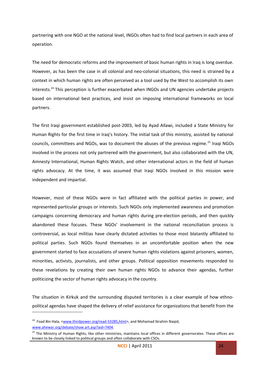partnering with one NGO at the national level, INGOs often had to find local partners in each area of operation.

The need for democratic reforms and the improvement of basic human rights in Iraq is long overdue. However, as has been the case in all colonial and neo-colonial situations, this need is strained by a context in which human rights are often perceived as a tool used by the West to accomplish its own interests.<sup>[24](#page-23-0)</sup> This perception is further exacerbated when INGOs and UN agencies undertake projects based on international best practices, and insist on imposing international frameworks on local partners.

The first Iraqi government established post-2003, led by Ayad Allawi, included a State Ministry for Human Rights for the first time in Iraq's history. The initial task of this ministry, assisted by national councils, committees and NGOs, was to document the abuses of the previous regime.<sup>[25](#page-23-1)</sup> Iraqi NGOs involved in the process not only partnered with the government, but also collaborated with the UN, Amnesty International, Human Rights Watch, and other international actors in the field of human rights advocacy. At the time, it was assumed that Iraqi NGOs involved in this mission were independent and impartial.

However, most of these NGOs were in fact affiliated with the political parties in power, and represented particular groups or interests. Such NGOs only implemented awareness and promotion campaigns concerning democracy and human rights during pre-election periods, and then quickly abandoned these focuses. These NGOs' involvement in the national reconciliation process is controversial, as local militias have clearly dictated activities to those most blatantly affiliated to political parties. Such NGOs found themselves in an uncomfortable position when the new government started to face accusations of severe human rights violations against prisoners, women, minorities, activists, journalists, and other groups. Political opposition movements responded to these revelations by creating their own human rights NGOs to advance their agendas, further politicizing the sector of human rights advocacy in the country.

The situation in Kirkuk and the surrounding disputed territories is a clear example of how ethnopolitical agendas have shaped the delivery of relief assistance for organizations that benefit from the

<span id="page-23-0"></span><sup>&</sup>lt;sup>24</sup> Foad Bin Hala, [<www.thirdpower.org/read-53285,html>](http://www.thirdpower.org/read-53285,html), and Mohamad Ibrahim Naqid, [www.ahewar.org/debate/show.art.asp?aid=7404.](http://www.ahewar.org/debate/show.art.asp?aid=7404)

<span id="page-23-1"></span><sup>&</sup>lt;sup>25</sup> The Ministry of Human Rights, like other ministries, maintains local offices in different governorates. These offices are known to be closely linked to political groups and often collaborate with CSOs.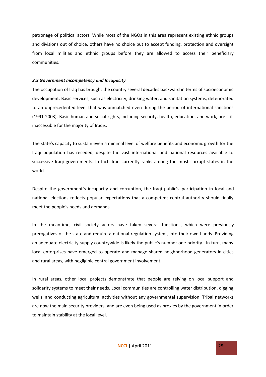patronage of political actors. While most of the NGOs in this area represent existing ethnic groups and divisions out of choice, others have no choice but to accept funding, protection and oversight from local militias and ethnic groups before they are allowed to access their beneficiary communities.

#### *3.3 Government Incompetency and Incapacity*

The occupation of Iraq has brought the country several decades backward in terms of socioeconomic development. Basic services, such as electricity, drinking water, and sanitation systems, deteriorated to an unprecedented level that was unmatched even during the period of international sanctions (1991-2003). Basic human and social rights, including security, health, education, and work, are still inaccessible for the majority of Iraqis.

The state's capacity to sustain even a minimal level of welfare benefits and economic growth for the Iraqi population has receded, despite the vast international and national resources available to successive Iraqi governments. In fact, Iraq currently ranks among the most corrupt states in the world.

Despite the government's incapacity and corruption, the Iraqi public's participation in local and national elections reflects popular expectations that a competent central authority should finally meet the people's needs and demands.

In the meantime, civil society actors have taken several functions, which were previously prerogatives of the state and require a national regulation system, into their own hands. Providing an adequate electricity supply countrywide is likely the public's number one priority. In turn, many local enterprises have emerged to operate and manage shared neighborhood generators in cities and rural areas, with negligible central government involvement.

In rural areas, other local projects demonstrate that people are relying on local support and solidarity systems to meet their needs. Local communities are controlling water distribution, digging wells, and conducting agricultural activities without any governmental supervision. Tribal networks are now the main security providers, and are even being used as proxies by the government in order to maintain stability at the local level.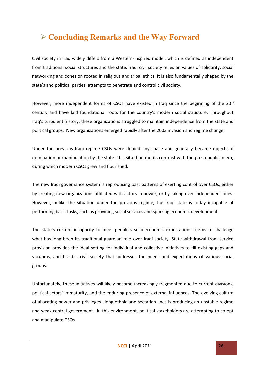### **Concluding Remarks and the Way Forward**

Civil society in Iraq widely differs from a Western-inspired model, which is defined as independent from traditional social structures and the state. Iraqi civil society relies on values of solidarity, social networking and cohesion rooted in religious and tribal ethics. It is also fundamentally shaped by the state's and political parties' attempts to penetrate and control civil society.

However, more independent forms of CSOs have existed in Iraq since the beginning of the  $20<sup>th</sup>$ century and have laid foundational roots for the country's modern social structure. Throughout Iraq's turbulent history, these organizations struggled to maintain independence from the state and political groups. New organizations emerged rapidly after the 2003 invasion and regime change.

Under the previous Iraqi regime CSOs were denied any space and generally became objects of domination or manipulation by the state. This situation merits contrast with the pre-republican era, during which modern CSOs grew and flourished.

The new Iraqi governance system is reproducing past patterns of exerting control over CSOs, either by creating new organizations affiliated with actors in power, or by taking over independent ones. However, unlike the situation under the previous regime, the Iraqi state is today incapable of performing basic tasks, such as providing social services and spurring economic development.

The state's current incapacity to meet people's socioeconomic expectations seems to challenge what has long been its traditional guardian role over Iraqi society. State withdrawal from service provision provides the ideal setting for individual and collective initiatives to fill existing gaps and vacuums, and build a civil society that addresses the needs and expectations of various social groups.

Unfortunately, these initiatives will likely become increasingly fragmented due to current divisions, political actors' immaturity, and the enduring presence of external influences. The evolving culture of allocating power and privileges along ethnic and sectarian lines is producing an unstable regime and weak central government. In this environment, political stakeholders are attempting to co-opt and manipulate CSOs.